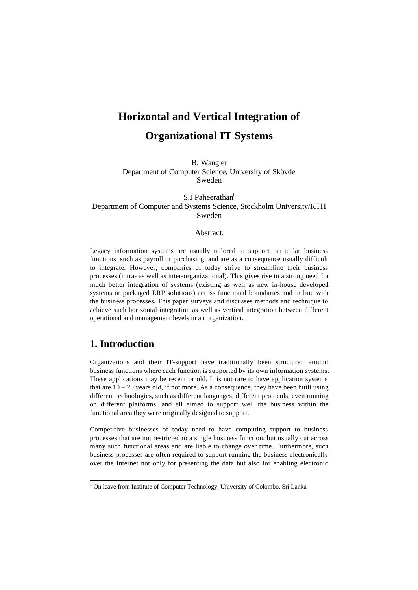# **Horizontal and Vertical Integration of Organizational IT Systems**

B. Wangler Department of Computer Science, University of Skövde Sweden

S. J. Paheerathan<sup>1</sup> Department of Computer and Systems Science, Stockholm University/KTH Sweden

#### Abstract:

Legacy information systems are usually tailored to support particular business functions, such as payroll or purchasing, and are as a consequence usually difficult to integrate. However, companies of today strive to streamline their business processes (intra- as well as inter-organizational). This gives rise to a strong need for much better integration of systems (existing as well as new in-house developed systems or packaged ERP solutions) across functional boundaries and in line with the business processes. This paper surveys and discusses methods and technique to achieve such horizontal integration as well as vertical integration between different operational and management levels in an organization.

## **1. Introduction**

Organizations and their IT-support have traditionally been structured around business functions where each function is supported by its own information systems. These applications may be recent or old. It is not rare to have application systems that are  $10 - 20$  years old, if not more. As a consequence, they have been built using different technologies, such as different languages, different protocols, even running on different platforms, and all aimed to support well the business within the functional area they were originally designed to support.

Competitive businesses of today need to have computing support to business processes that are not restricted to a single business function, but usually cut across many such functional areas and are liable to change over time. Furthermore, such business processes are often required to support running the business electronically over the Internet not only for presenting the data but also for enabling electronic

 1 On leave from Institute of Computer Technology, University of Colombo, Sri Lanka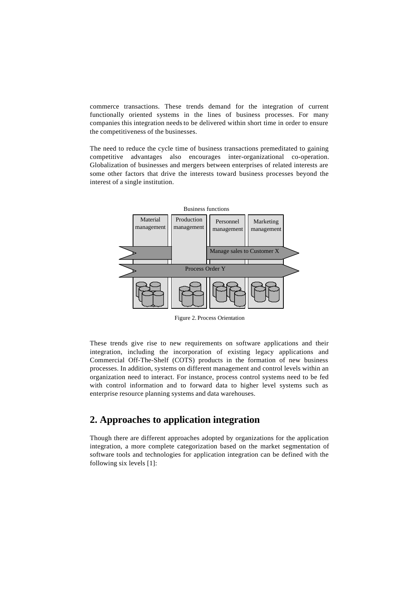commerce transactions. These trends demand for the integration of current functionally oriented systems in the lines of business processes. For many companies this integration needs to be delivered within short time in order to ensure the competitiveness of the businesses.

The need to reduce the cycle time of business transactions premeditated to gaining competitive advantages also encourages inter-organizational co-operation. Globalization of businesses and mergers between enterprises of related interests are some other factors that drive the interests toward business processes beyond the interest of a single institution.



Figure 2. Process Orientation

These trends give rise to new requirements on software applications and their integration, including the incorporation of existing legacy applications and Commercial Off-The-Shelf (COTS) products in the formation of new business processes. In addition, systems on different management and control levels within an organization need to interact. For instance, process control systems need to be fed with control information and to forward data to higher level systems such as enterprise resource planning systems and data warehouses.

## **2. Approaches to application integration**

Though there are different approaches adopted by organizations for the application integration, a more complete categorization based on the market segmentation of software tools and technologies for application integration can be defined with the following six levels [1]: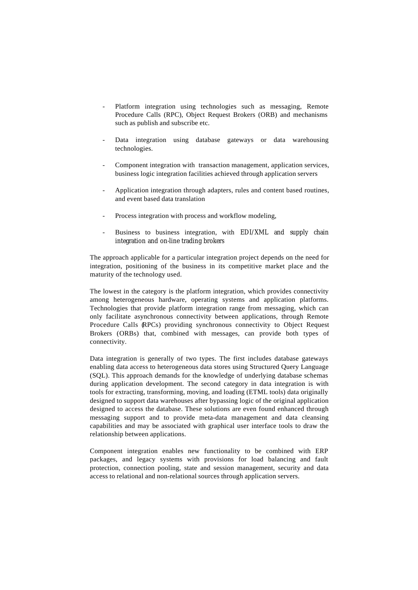- Platform integration using technologies such as messaging, Remote Procedure Calls (RPC), Object Request Brokers (ORB) and mechanisms such as publish and subscribe etc.
- Data integration using database gateways or data warehousing technologies.
- Component integration with transaction management, application services, business logic integration facilities achieved through application servers
- Application integration through adapters, rules and content based routines, and event based data translation
- Process integration with process and workflow modeling,
- Business to business integration, with EDI/XML and supply chain integration and on-line trading brokers

The approach applicable for a particular integration project depends on the need for integration, positioning of the business in its competitive market place and the maturity of the technology used.

The lowest in the category is the platform integration, which provides connectivity among heterogeneous hardware, operating systems and application platforms. Technologies that provide platform integration range from messaging, which can only facilitate asynchronous connectivity between applications, through Remote Procedure Calls (RPCs) providing synchronous connectivity to Object Request Brokers (ORBs) that, combined with messages, can provide both types of connectivity.

Data integration is generally of two types. The first includes database gateways enabling data access to heterogeneous data stores using Structured Query Language (SQL). This approach demands for the knowledge of underlying database schemas during application development. The second category in data integration is with tools for extracting, transforming, moving, and loading (ETML tools) data originally designed to support data warehouses after bypassing logic of the original application designed to access the database. These solutions are even found enhanced through messaging support and to provide meta-data management and data cleansing capabilities and may be associated with graphical user interface tools to draw the relationship between applications.

Component integration enables new functionality to be combined with ERP packages, and legacy systems with provisions for load balancing and fault protection, connection pooling, state and session management, security and data access to relational and non-relational sources through application servers.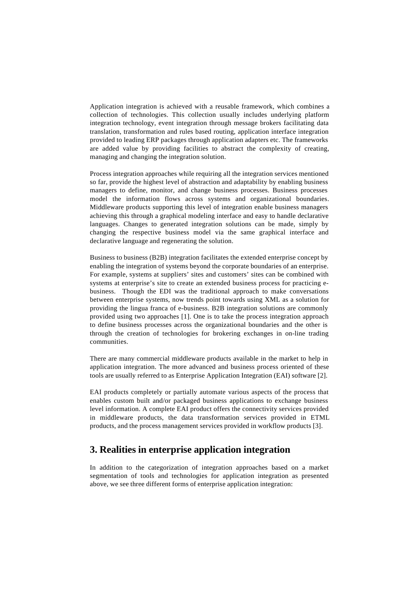Application integration is achieved with a reusable framework, which combines a collection of technologies. This collection usually includes underlying platform integration technology, event integration through message brokers facilitating data translation, transformation and rules based routing, application interface integration provided to leading ERP packages through application adapters etc. The frameworks are added value by providing facilities to abstract the complexity of creating, managing and changing the integration solution.

Process integration approaches while requiring all the integration services mentioned so far, provide the highest level of abstraction and adaptability by enabling business managers to define, monitor, and change business processes. Business processes model the information flows across systems and organizational boundaries. Middleware products supporting this level of integration enable business managers achieving this through a graphical modeling interface and easy to handle declarative languages. Changes to generated integration solutions can be made, simply by changing the respective business model via the same graphical interface and declarative language and regenerating the solution.

Business to business (B2B) integration facilitates the extended enterprise concept by enabling the integration of systems beyond the corporate boundaries of an enterprise. For example, systems at suppliers' sites and customers' sites can be combined with systems at enterprise's site to create an extended business process for practicing ebusiness. Though the EDI was the traditional approach to make conversations between enterprise systems, now trends point towards using XML as a solution for providing the lingua franca of e-business. B2B integration solutions are commonly provided using two approaches [1]. One is to take the process integration approach to define business processes across the organizational boundaries and the other is through the creation of technologies for brokering exchanges in on-line trading communities.

There are many commercial middleware products available in the market to help in application integration. The more advanced and business process oriented of these tools are usually referred to as Enterprise Application Integration (EAI) software [2].

EAI products completely or partially automate various aspects of the process that enables custom built and/or packaged business applications to exchange business level information. A complete EAI product offers the connectivity services provided in middleware products, the data transformation services provided in ETML products, and the process management services provided in workflow products [3].

# **3. Realities in enterprise application integration**

In addition to the categorization of integration approaches based on a market segmentation of tools and technologies for application integration as presented above, we see three different forms of enterprise application integration: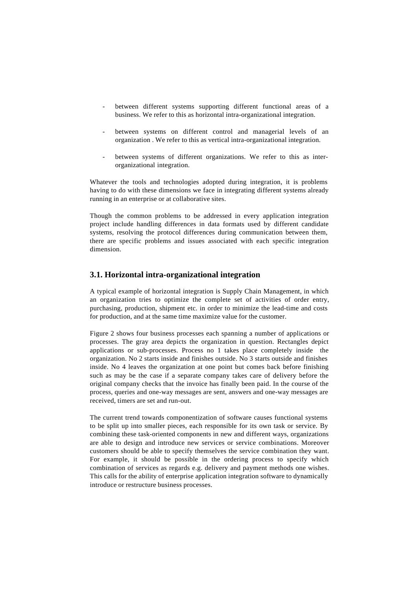- between different systems supporting different functional areas of a business. We refer to this as horizontal intra-organizational integration.
- between systems on different control and managerial levels of an organization . We refer to this as vertical intra-organizational integration.
- between systems of different organizations. We refer to this as interorganizational integration.

Whatever the tools and technologies adopted during integration, it is problems having to do with these dimensions we face in integrating different systems already running in an enterprise or at collaborative sites.

Though the common problems to be addressed in every application integration project include handling differences in data formats used by different candidate systems, resolving the protocol differences during communication between them, there are specific problems and issues associated with each specific integration dimension.

#### **3.1. Horizontal intra-organizational integration**

A typical example of horizontal integration is Supply Chain Management, in which an organization tries to optimize the complete set of activities of order entry, purchasing, production, shipment etc. in order to minimize the lead-time and costs for production, and at the same time maximize value for the customer.

Figure 2 shows four business processes each spanning a number of applications or processes. The gray area depicts the organization in question. Rectangles depict applications or sub-processes. Process no 1 takes place completely inside the organization. No 2 starts inside and finishes outside. No 3 starts outside and finishes inside. No 4 leaves the organization at one point but comes back before finishing such as may be the case if a separate company takes care of delivery before the original company checks that the invoice has finally been paid. In the course of the process, queries and one-way messages are sent, answers and one-way messages are received, timers are set and run-out.

The current trend towards componentization of software causes functional systems to be split up into smaller pieces, each responsible for its own task or service. By combining these task-oriented components in new and different ways, organizations are able to design and introduce new services or service combinations. Moreover customers should be able to specify themselves the service combination they want. For example, it should be possible in the ordering process to specify which combination of services as regards e.g. delivery and payment methods one wishes. This calls for the ability of enterprise application integration software to dynamically introduce or restructure business processes.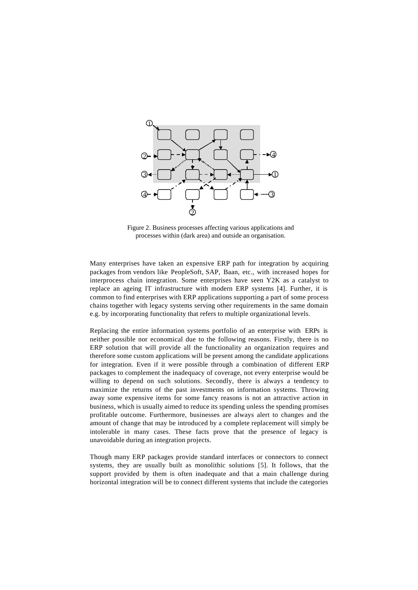

Figure 2. Business processes affecting various applications and processes within (dark area) and outside an organisation.

Many enterprises have taken an expensive ERP path for integration by acquiring packages from vendors like PeopleSoft, SAP, Baan, etc., with increased hopes for interprocess chain integration. Some enterprises have seen Y2K as a catalyst to replace an ageing IT infrastructure with modern ERP systems [4]. Further, it is common to find enterprises with ERP applications supporting a part of some process chains together with legacy systems serving other requirements in the same domain e.g. by incorporating functionality that refers to multiple organizational levels.

Replacing the entire information systems portfolio of an enterprise with ERPs is neither possible nor economical due to the following reasons. Firstly, there is no ERP solution that will provide all the functionality an organization requires and therefore some custom applications will be present among the candidate applications for integration. Even if it were possible through a combination of different ERP packages to complement the inadequacy of coverage, not every enterprise would be willing to depend on such solutions. Secondly, there is always a tendency to maximize the returns of the past investments on information systems. Throwing away some expensive items for some fancy reasons is not an attractive action in business, which is usually aimed to reduce its spending unless the spending promises profitable outcome. Furthermore, businesses are always alert to changes and the amount of change that may be introduced by a complete replacement will simply be intolerable in many cases. These facts prove that the presence of legacy is unavoidable during an integration projects.

Though many ERP packages provide standard interfaces or connectors to connect systems, they are usually built as monolithic solutions [5]. It follows, that the support provided by them is often inadequate and that a main challenge during horizontal integration will be to connect different systems that include the categories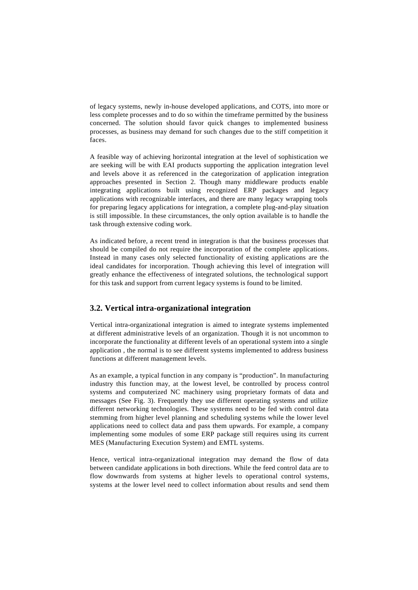of legacy systems, newly in-house developed applications, and COTS, into more or less complete processes and to do so within the timeframe permitted by the business concerned. The solution should favor quick changes to implemented business processes, as business may demand for such changes due to the stiff competition it faces.

A feasible way of achieving horizontal integration at the level of sophistication we are seeking will be with EAI products supporting the application integration level and levels above it as referenced in the categorization of application integration approaches presented in Section 2. Though many middleware products enable integrating applications built using recognized ERP packages and legacy applications with recognizable interfaces, and there are many legacy wrapping tools for preparing legacy applications for integration, a complete plug-and-play situation is still impossible. In these circumstances, the only option available is to handle the task through extensive coding work.

As indicated before, a recent trend in integration is that the business processes that should be compiled do not require the incorporation of the complete applications. Instead in many cases only selected functionality of existing applications are the ideal candidates for incorporation. Though achieving this level of integration will greatly enhance the effectiveness of integrated solutions, the technological support for this task and support from current legacy systems is found to be limited.

#### **3.2. Vertical intra-organizational integration**

Vertical intra-organizational integration is aimed to integrate systems implemented at different administrative levels of an organization. Though it is not uncommon to incorporate the functionality at different levels of an operational system into a single application , the normal is to see different systems implemented to address business functions at different management levels.

As an example, a typical function in any company is "production". In manufacturing industry this function may, at the lowest level, be controlled by process control systems and computerized NC machinery using proprietary formats of data and messages (See Fig. 3). Frequently they use different operating systems and utilize different networking technologies. These systems need to be fed with control data stemming from higher level planning and scheduling systems while the lower level applications need to collect data and pass them upwards. For example, a company implementing some modules of some ERP package still requires using its current MES (Manufacturing Execution System) and EMTL systems.

Hence, vertical intra-organizational integration may demand the flow of data between candidate applications in both directions. While the feed control data are to flow downwards from systems at higher levels to operational control systems, systems at the lower level need to collect information about results and send them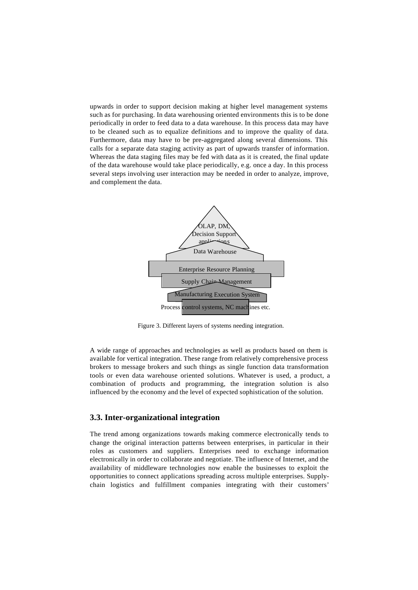upwards in order to support decision making at higher level management systems such as for purchasing. In data warehousing oriented environments this is to be done periodically in order to feed data to a data warehouse. In this process data may have to be cleaned such as to equalize definitions and to improve the quality of data. Furthermore, data may have to be pre-aggregated along several dimensions. This calls for a separate data staging activity as part of upwards transfer of information. Whereas the data staging files may be fed with data as it is created, the final update of the data warehouse would take place periodically, e.g. once a day. In this process several steps involving user interaction may be needed in order to analyze, improve, and complement the data.



Figure 3. Different layers of systems needing integration.

A wide range of approaches and technologies as well as products based on them is available for vertical integration. These range from relatively comprehensive process brokers to message brokers and such things as single function data transformation tools or even data warehouse oriented solutions. Whatever is used, a product, a combination of products and programming, the integration solution is also influenced by the economy and the level of expected sophistication of the solution.

#### **3.3. Inter-organizational integration**

The trend among organizations towards making commerce electronically tends to change the original interaction patterns between enterprises, in particular in their roles as customers and suppliers. Enterprises need to exchange information electronically in order to collaborate and negotiate. The influence of Internet, and the availability of middleware technologies now enable the businesses to exploit the opportunities to connect applications spreading across multiple enterprises. Supplychain logistics and fulfillment companies integrating with their customers'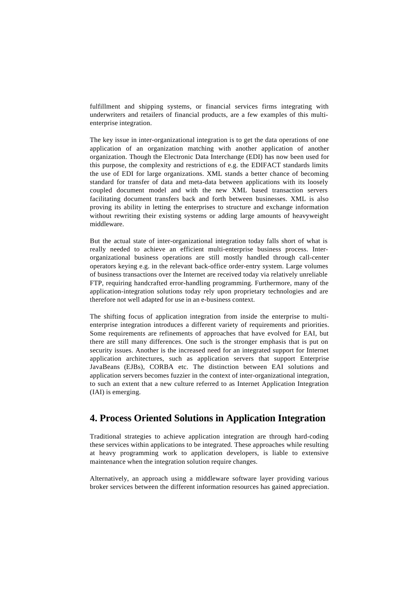fulfillment and shipping systems, or financial services firms integrating with underwriters and retailers of financial products, are a few examples of this multienterprise integration.

The key issue in inter-organizational integration is to get the data operations of one application of an organization matching with another application of another organization. Though the Electronic Data Interchange (EDI) has now been used for this purpose, the complexity and restrictions of e.g. the EDIFACT standards limits the use of EDI for large organizations. XML stands a better chance of becoming standard for transfer of data and meta-data between applications with its loosely coupled document model and with the new XML based transaction servers facilitating document transfers back and forth between businesses. XML is also proving its ability in letting the enterprises to structure and exchange information without rewriting their existing systems or adding large amounts of heavyweight middleware.

But the actual state of inter-organizational integration today falls short of what is really needed to achieve an efficient multi-enterprise business process. Interorganizational business operations are still mostly handled through call-center operators keying e.g. in the relevant back-office order-entry system. Large volumes of business transactions over the Internet are received today via relatively unreliable FTP, requiring handcrafted error-handling programming. Furthermore, many of the application-integration solutions today rely upon proprietary technologies and are therefore not well adapted for use in an e-business context.

The shifting focus of application integration from inside the enterprise to multienterprise integration introduces a different variety of requirements and priorities. Some requirements are refinements of approaches that have evolved for EAI, but there are still many differences. One such is the stronger emphasis that is put on security issues. Another is the increased need for an integrated support for Internet application architectures, such as application servers that support Enterprise JavaBeans (EJBs), CORBA etc. The distinction between EAI solutions and application servers becomes fuzzier in the context of inter-organizational integration, to such an extent that a new culture referred to as Internet Application Integration (IAI) is emerging.

# **4. Process Oriented Solutions in Application Integration**

Traditional strategies to achieve application integration are through hard-coding these services within applications to be integrated. These approaches while resulting at heavy programming work to application developers, is liable to extensive maintenance when the integration solution require changes.

Alternatively, an approach using a middleware software layer providing various broker services between the different information resources has gained appreciation.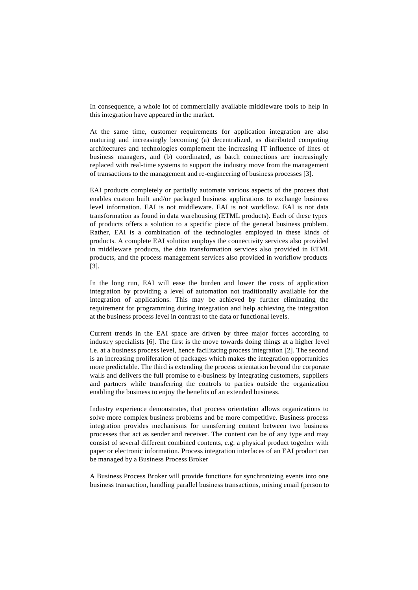In consequence, a whole lot of commercially available middleware tools to help in this integration have appeared in the market.

At the same time, customer requirements for application integration are also maturing and increasingly becoming (a) decentralized, as distributed computing architectures and technologies complement the increasing IT influence of lines of business managers, and (b) coordinated, as batch connections are increasingly replaced with real-time systems to support the industry move from the management of transactions to the management and re-engineering of business processes [3].

EAI products completely or partially automate various aspects of the process that enables custom built and/or packaged business applications to exchange business level information. EAI is not middleware. EAI is not workflow. EAI is not data transformation as found in data warehousing (ETML products). Each of these types of products offers a solution to a specific piece of the general business problem. Rather, EAI is a combination of the technologies employed in these kinds of products. A complete EAI solution employs the connectivity services also provided in middleware products, the data transformation services also provided in ETML products, and the process management services also provided in workflow products [3].

In the long run, EAI will ease the burden and lower the costs of application integration by providing a level of automation not traditionally available for the integration of applications. This may be achieved by further eliminating the requirement for programming during integration and help achieving the integration at the business process level in contrast to the data or functional levels.

Current trends in the EAI space are driven by three major forces according to industry specialists [6]. The first is the move towards doing things at a higher level i.e. at a business process level, hence facilitating process integration [2]. The second is an increasing proliferation of packages which makes the integration opportunities more predictable. The third is extending the process orientation beyond the corporate walls and delivers the full promise to e-business by integrating customers, suppliers and partners while transferring the controls to parties outside the organization enabling the business to enjoy the benefits of an extended business.

Industry experience demonstrates, that process orientation allows organizations to solve more complex business problems and be more competitive. Business process integration provides mechanisms for transferring content between two business processes that act as sender and receiver. The content can be of any type and may consist of several different combined contents, e.g. a physical product together with paper or electronic information. Process integration interfaces of an EAI product can be managed by a Business Process Broker

A Business Process Broker will provide functions for synchronizing events into one business transaction, handling parallel business transactions, mixing email (person to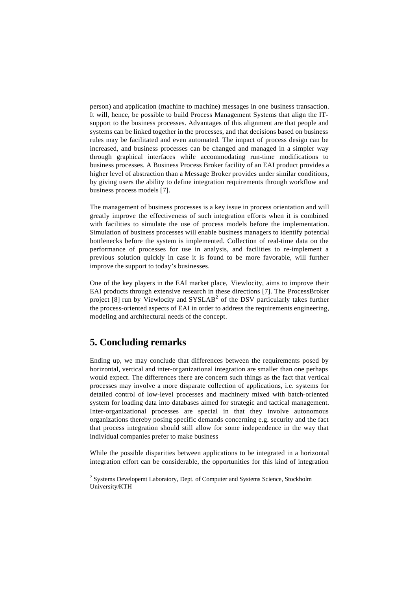person) and application (machine to machine) messages in one business transaction. It will, hence, be possible to build Process Management Systems that align the ITsupport to the business processes. Advantages of this alignment are that people and systems can be linked together in the processes, and that decisions based on business rules may be facilitated and even automated. The impact of process design can be increased, and business processes can be changed and managed in a simpler way through graphical interfaces while accommodating run-time modifications to business processes. A Business Process Broker facility of an EAI product provides a higher level of abstraction than a Message Broker provides under similar conditions, by giving users the ability to define integration requirements through workflow and business process models [7].

The management of business processes is a key issue in process orientation and will greatly improve the effectiveness of such integration efforts when it is combined with facilities to simulate the use of process models before the implementation. Simulation of business processes will enable business managers to identify potential bottlenecks before the system is implemented. Collection of real-time data on the performance of processes for use in analysis, and facilities to re-implement a previous solution quickly in case it is found to be more favorable, will further improve the support to today's businesses.

One of the key players in the EAI market place, Viewlocity, aims to improve their EAI products through extensive research in these directions [7]. The ProcessBroker project [8] run by Viewlocity and  $SYSLAB<sup>2</sup>$  of the DSV particularly takes further the process-oriented aspects of EAI in order to address the requirements engineering, modeling and architectural needs of the concept.

# **5. Concluding remarks**

Ending up, we may conclude that differences between the requirements posed by horizontal, vertical and inter-organizational integration are smaller than one perhaps would expect. The differences there are concern such things as the fact that vertical processes may involve a more disparate collection of applications, i.e. systems for detailed control of low-level processes and machinery mixed with batch-oriented system for loading data into databases aimed for strategic and tactical management. Inter-organizational processes are special in that they involve autonomous organizations thereby posing specific demands concerning e.g. security and the fact that process integration should still allow for some independence in the way that individual companies prefer to make business

While the possible disparities between applications to be integrated in a horizontal integration effort can be considerable, the opportunities for this kind of integration

<sup>&</sup>lt;sup>2</sup> Systems Developemt Laboratory, Dept. of Computer and Systems Science, Stockholm University/KTH